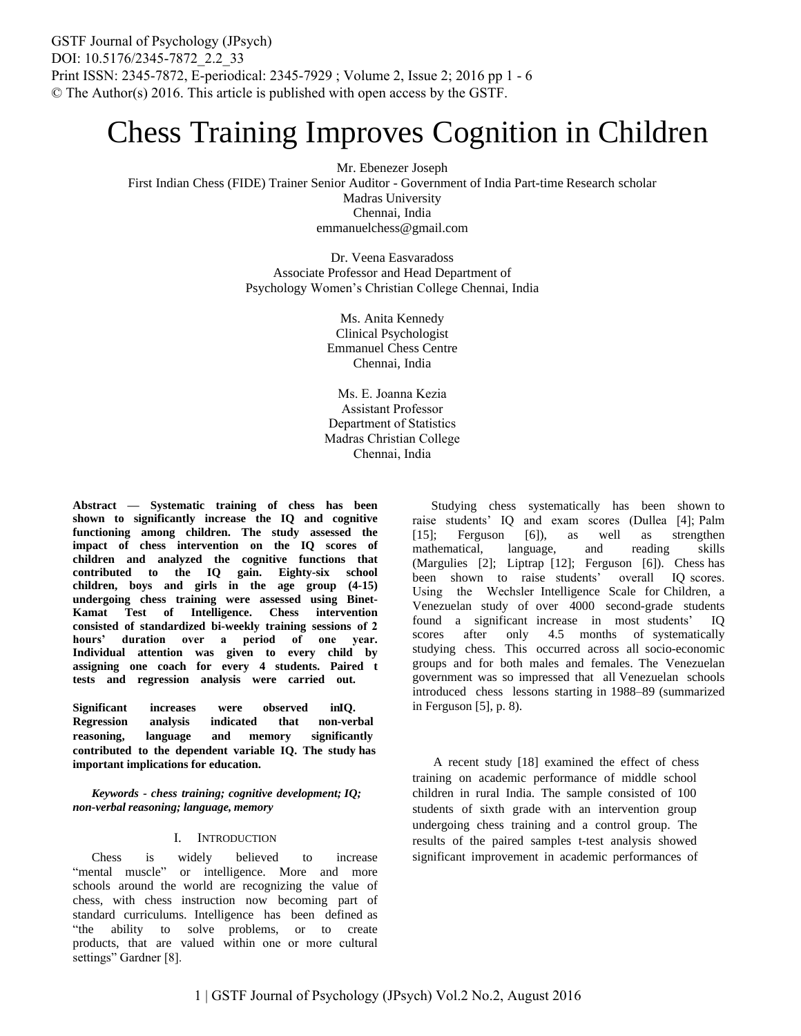# Chess Training Improves Cognition in Children

Mr. Ebenezer Joseph First Indian Chess (FIDE) Trainer Senior Auditor - Government of India Part-time Research scholar Madras University Chennai, India emmanuelchess@gmail.com

> Dr. Veena Easvaradoss Associate Professor and Head Department of Psychology Women's Christian College Chennai, India

> > Ms. Anita Kennedy Clinical Psychologist Emmanuel Chess Centre Chennai, India

Ms. E. Joanna Kezia Assistant Professor Department of Statistics Madras Christian College Chennai, India

**Abstract** *—* **Systematic training of chess has been shown to significantly increase the IQ and cognitive functioning among children. The study assessed the impact of chess intervention on the IQ scores of children and analyzed the cognitive functions that contributed to the IQ gain. Eighty-six school children, boys and girls in the age group (4-15) undergoing chess training were assessed using Binet-Kamat Test of Intelligence. Chess intervention consisted of standardized bi-weekly training sessions of 2 hours' duration over a period of one year. Individual attention was given to every child by assigning one coach for every 4 students. Paired t tests and regression analysis were carried out.** 

**Significant increases were observed inIQ. Regression analysis indicated that non-verbal reasoning, language and memory significantly contributed to the dependent variable IQ. The study has important implications for education.** 

*Keywords - chess training; cognitive development; IQ; non-verbal reasoning; language, memory* 

## I. INTRODUCTION

Chess is widely believed to increase "mental muscle" or intelligence. More and more schools around the world are recognizing the value of chess, with chess instruction now becoming part of standard curriculums. Intelligence has been defined as "the ability to solve problems, or to create products, that are valued within one or more cultural settings" Gardner [8].

Studying chess systematically has been shown to raise students' IQ and exam scores (Dullea [4]; Palm [15]; Ferguson [6]), as well as strengthen mathematical, language, and reading skills (Margulies [2]; Liptrap [12]; Ferguson [6]). Chess has been shown to raise students' overall IQ scores. Using the Wechsler Intelligence Scale for Children, a Venezuelan study of over 4000 second-grade students found a significant increase in most students' IQ scores after only 4.5 months of systematically studying chess. This occurred across all socio-economic groups and for both males and females. The Venezuelan government was so impressed that all Venezuelan schools introduced chess lessons starting in 1988–89 (summarized in Ferguson [5], p. 8).

A recent study [18] examined the effect of chess training on academic performance of middle school children in rural India. The sample consisted of 100 students of sixth grade with an intervention group undergoing chess training and a control group. The results of the paired samples t-test analysis showed significant improvement in academic performances of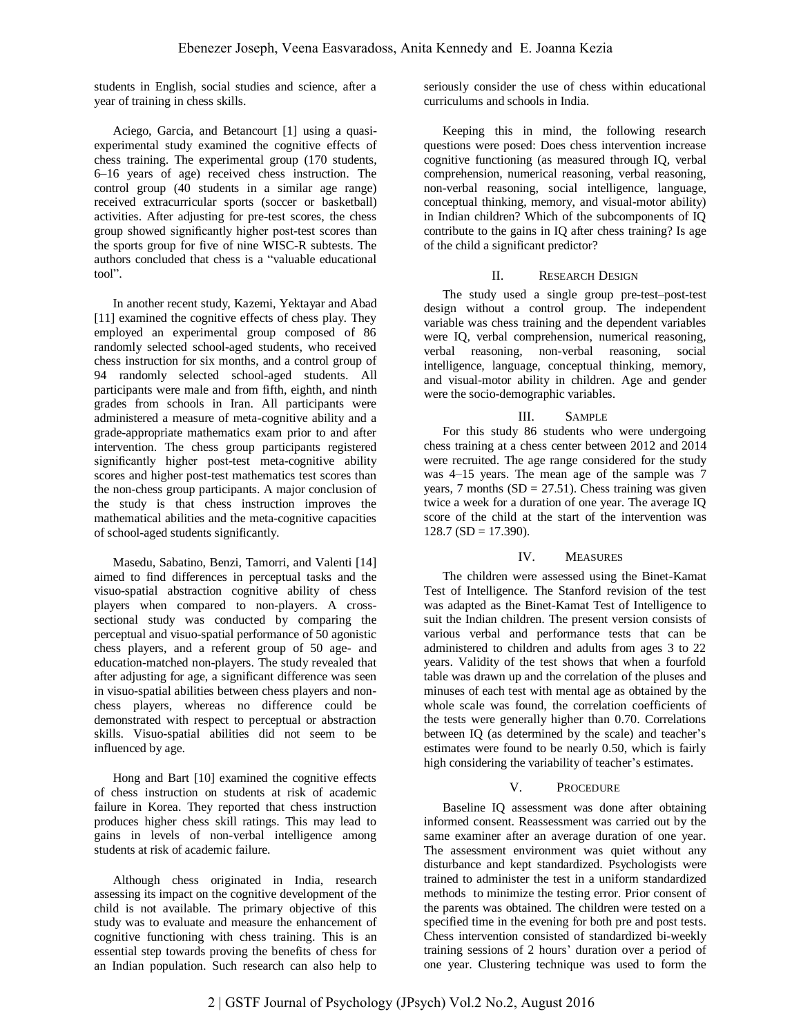students in English, social studies and science, after a year of training in chess skills.

Aciego, Garcia, and Betancourt [1] using a quasiexperimental study examined the cognitive effects of chess training. The experimental group (170 students, 6–16 years of age) received chess instruction. The control group (40 students in a similar age range) received extracurricular sports (soccer or basketball) activities. After adjusting for pre-test scores, the chess group showed significantly higher post-test scores than the sports group for five of nine WISC-R subtests. The authors concluded that chess is a "valuable educational tool".

In another recent study, Kazemi, Yektayar and Abad [11] examined the cognitive effects of chess play. They employed an experimental group composed of 86 randomly selected school-aged students, who received chess instruction for six months, and a control group of 94 randomly selected school-aged students. All participants were male and from fifth, eighth, and ninth grades from schools in Iran. All participants were administered a measure of meta-cognitive ability and a grade-appropriate mathematics exam prior to and after intervention. The chess group participants registered significantly higher post-test meta-cognitive ability scores and higher post-test mathematics test scores than the non-chess group participants. A major conclusion of the study is that chess instruction improves the mathematical abilities and the meta-cognitive capacities of school-aged students significantly.

Masedu, Sabatino, Benzi, Tamorri, and Valenti [14] aimed to find differences in perceptual tasks and the visuo-spatial abstraction cognitive ability of chess players when compared to non-players. A crosssectional study was conducted by comparing the perceptual and visuo-spatial performance of 50 agonistic chess players, and a referent group of 50 age- and education-matched non-players. The study revealed that after adjusting for age, a significant difference was seen in visuo-spatial abilities between chess players and nonchess players, whereas no difference could be demonstrated with respect to perceptual or abstraction skills. Visuo-spatial abilities did not seem to be influenced by age.

Hong and Bart [10] examined the cognitive effects of chess instruction on students at risk of academic failure in Korea. They reported that chess instruction produces higher chess skill ratings. This may lead to gains in levels of non-verbal intelligence among students at risk of academic failure.

Although chess originated in India, research assessing its impact on the cognitive development of the child is not available. The primary objective of this study was to evaluate and measure the enhancement of cognitive functioning with chess training. This is an essential step towards proving the benefits of chess for an Indian population. Such research can also help to

seriously consider the use of chess within educational curriculums and schools in India.

Keeping this in mind, the following research questions were posed: Does chess intervention increase cognitive functioning (as measured through IQ, verbal comprehension, numerical reasoning, verbal reasoning, non-verbal reasoning, social intelligence, language, conceptual thinking, memory, and visual-motor ability) in Indian children? Which of the subcomponents of IQ contribute to the gains in IQ after chess training? Is age of the child a significant predictor?

## II. RESEARCH DESIGN

The study used a single group pre-test–post-test design without a control group. The independent variable was chess training and the dependent variables were IQ, verbal comprehension, numerical reasoning, verbal reasoning, non-verbal reasoning, social intelligence, language, conceptual thinking, memory, and visual-motor ability in children. Age and gender were the socio-demographic variables.

## III. SAMPLE

For this study 86 students who were undergoing chess training at a chess center between 2012 and 2014 were recruited. The age range considered for the study was 4–15 years. The mean age of the sample was 7 years, 7 months  $(SD = 27.51)$ . Chess training was given twice a week for a duration of one year. The average IQ score of the child at the start of the intervention was  $128.7$  (SD = 17.390).

## IV. MEASURES

The children were assessed using the Binet-Kamat Test of Intelligence. The Stanford revision of the test was adapted as the Binet-Kamat Test of Intelligence to suit the Indian children. The present version consists of various verbal and performance tests that can be administered to children and adults from ages 3 to 22 years. Validity of the test shows that when a fourfold table was drawn up and the correlation of the pluses and minuses of each test with mental age as obtained by the whole scale was found, the correlation coefficients of the tests were generally higher than 0.70. Correlations between IQ (as determined by the scale) and teacher's estimates were found to be nearly 0.50, which is fairly high considering the variability of teacher's estimates.

## V. PROCEDURE

Baseline IQ assessment was done after obtaining informed consent. Reassessment was carried out by the same examiner after an average duration of one year. The assessment environment was quiet without any disturbance and kept standardized. Psychologists were trained to administer the test in a uniform standardized methods to minimize the testing error. Prior consent of the parents was obtained. The children were tested on a specified time in the evening for both pre and post tests. Chess intervention consisted of standardized bi-weekly training sessions of 2 hours' duration over a period of one year. Clustering technique was used to form the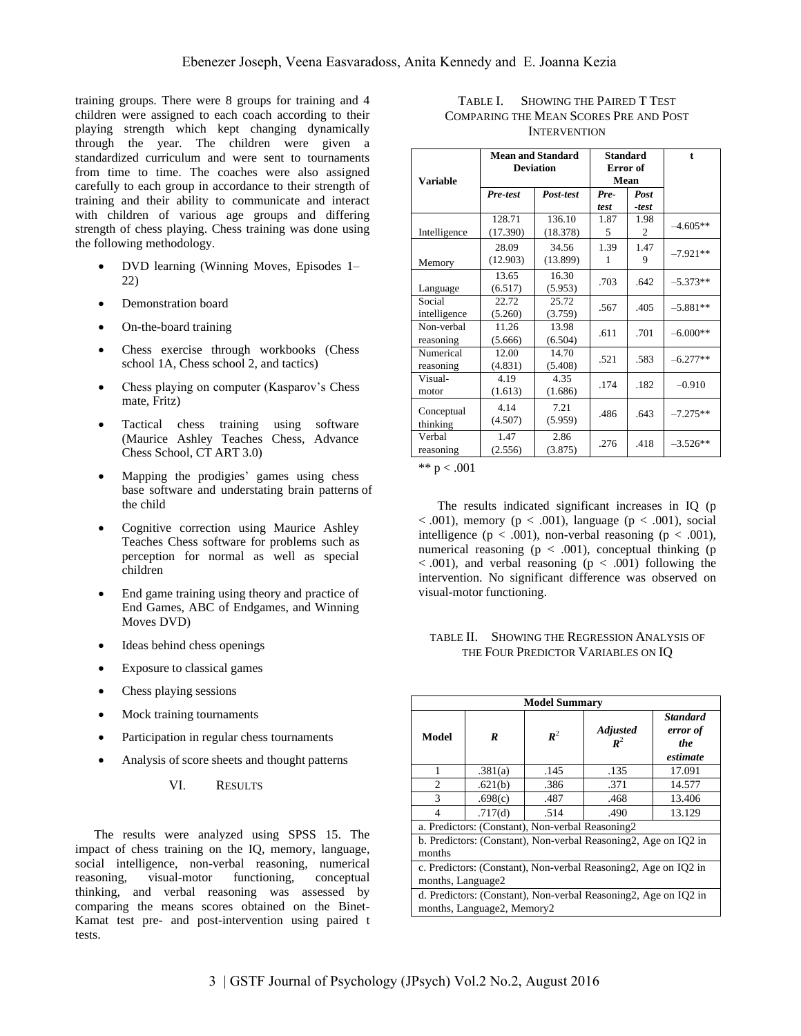training groups. There were 8 groups for training and 4 children were assigned to each coach according to their playing strength which kept changing dynamically through the year. The children were given a standardized curriculum and were sent to tournaments from time to time. The coaches were also assigned carefully to each group in accordance to their strength of training and their ability to communicate and interact with children of various age groups and differing strength of chess playing. Chess training was done using the following methodology.

- DVD learning (Winning Moves, Episodes 1– 22)
- Demonstration board
- On-the-board training
- Chess exercise through workbooks (Chess school 1A, Chess school 2, and tactics)
- Chess playing on computer (Kasparov's Chess mate, Fritz)
- Tactical chess training using software (Maurice Ashley Teaches Chess, Advance Chess School, CT ART 3.0)
- Mapping the prodigies' games using chess base software and understating brain patterns of the child
- Cognitive correction using Maurice Ashley Teaches Chess software for problems such as perception for normal as well as special children
- End game training using theory and practice of End Games, ABC of Endgames, and Winning Moves DVD)
- Ideas behind chess openings
- Exposure to classical games
- Chess playing sessions
- Mock training tournaments
- Participation in regular chess tournaments
- Analysis of score sheets and thought patterns
	- VI. RESULTS

The results were analyzed using SPSS 15. The impact of chess training on the IQ, memory, language, social intelligence, non-verbal reasoning, numerical reasoning, visual-motor functioning, conceptual thinking, and verbal reasoning was assessed by comparing the means scores obtained on the Binet-Kamat test pre- and post-intervention using paired t tests.

| TABLE I. SHOWING THE PAIRED T TEST     |
|----------------------------------------|
| COMPARING THE MEAN SCORES PRE AND POST |
| <b>INTERVENTION</b>                    |

| Variable                | <b>Mean and Standard</b><br><b>Deviation</b> |                    | <b>Standard</b><br>Error of<br>Mean |               | $\mathbf{f}$ |
|-------------------------|----------------------------------------------|--------------------|-------------------------------------|---------------|--------------|
|                         | Pre-test                                     | Post-test          | Pre-<br>test                        | Post<br>-test |              |
| Intelligence            | 128.71<br>(17.390)                           | 136.10<br>(18.378) | 1.87<br>5                           | 1.98<br>2     | $-4.605**$   |
| Memory                  | 28.09<br>(12.903)                            | 34.56<br>(13.899)  | 1.39<br>1                           | 1.47<br>9     | $-7.921**$   |
| Language                | 13.65<br>(6.517)                             | 16.30<br>(5.953)   | .703                                | .642          | $-5.373**$   |
| Social<br>intelligence  | 22.72<br>(5.260)                             | 25.72<br>(3.759)   | .567                                | .405          | $-5.881**$   |
| Non-verbal<br>reasoning | 11.26<br>(5.666)                             | 13.98<br>(6.504)   | .611                                | .701          | $-6.000**$   |
| Numerical<br>reasoning  | 12.00<br>(4.831)                             | 14.70<br>(5.408)   | .521                                | .583          | $-6.277**$   |
| Visual-<br>motor        | 4.19<br>(1.613)                              | 4.35<br>(1.686)    | .174                                | .182          | $-0.910$     |
| Conceptual<br>thinking  | 4.14<br>(4.507)                              | 7.21<br>(5.959)    | .486                                | .643          | $-7.275**$   |
| Verbal<br>reasoning     | 1.47<br>(2.556)                              | 2.86<br>(3.875)    | .276                                | .418          | $-3.526**$   |

\*\*  $p < .001$ 

The results indicated significant increases in IQ (p  $< .001$ ), memory (p  $< .001$ ), language (p  $< .001$ ), social intelligence ( $p < .001$ ), non-verbal reasoning ( $p < .001$ ), numerical reasoning  $(p < .001)$ , conceptual thinking  $(p \cdot p)$  $< .001$ ), and verbal reasoning ( $p < .001$ ) following the intervention. No significant difference was observed on visual-motor functioning.

## TABLE II. SHOWING THE REGRESSION ANALYSIS OF THE FOUR PREDICTOR VARIABLES ON IQ

| <b>Model Summary</b>                                                                          |         |                |                                   |                                                |  |
|-----------------------------------------------------------------------------------------------|---------|----------------|-----------------------------------|------------------------------------------------|--|
| Model                                                                                         | R       | $\mathbb{R}^2$ | <b>Adjusted</b><br>$\mathbb{R}^2$ | <b>Standard</b><br>error of<br>the<br>estimate |  |
| 1                                                                                             | .381(a) | .145           | .135                              | 17.091                                         |  |
| $\overline{c}$                                                                                | .621(b) | .386           | .371                              | 14.577                                         |  |
| 3                                                                                             | .698(c) | .487           | .468                              | 13.406                                         |  |
| $\overline{4}$                                                                                | .717(d) | .514           | .490                              | 13.129                                         |  |
| a. Predictors: (Constant), Non-verbal Reasoning2                                              |         |                |                                   |                                                |  |
| b. Predictors: (Constant), Non-verbal Reasoning 2, Age on IQ2 in<br>months                    |         |                |                                   |                                                |  |
| c. Predictors: (Constant), Non-verbal Reasoning 2, Age on IQ2 in<br>months, Language2         |         |                |                                   |                                                |  |
| d. Predictors: (Constant), Non-verbal Reasoning2, Age on IQ2 in<br>months, Language2, Memory2 |         |                |                                   |                                                |  |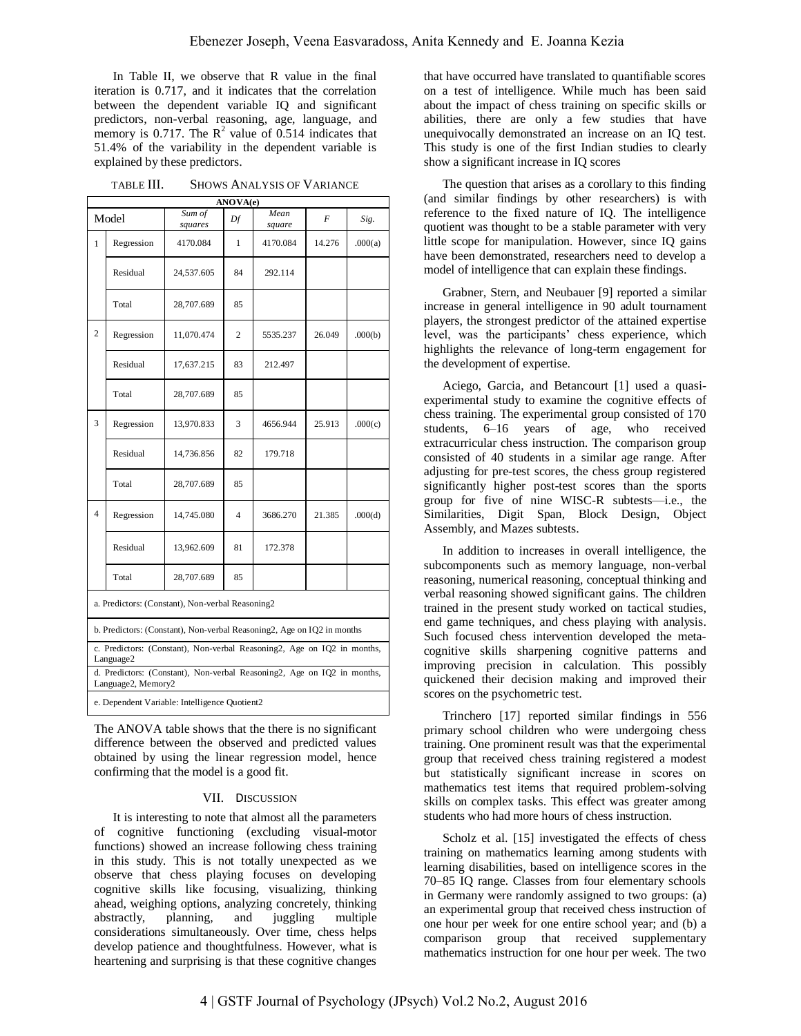In Table II, we observe that R value in the final iteration is 0.717, and it indicates that the correlation between the dependent variable IQ and significant predictors, non-verbal reasoning, age, language, and memory is 0.717. The  $\mathbb{R}^2$  value of 0.514 indicates that 51.4% of the variability in the dependent variable is explained by these predictors.

TABLE III. SHOWS ANALYSIS OF VARIANCE

| ANOVA(e)                                                                                      |            |                   |    |                |        |         |  |
|-----------------------------------------------------------------------------------------------|------------|-------------------|----|----------------|--------|---------|--|
| Model                                                                                         |            | Sum of<br>squares | Df | Mean<br>square | F      | Sig.    |  |
| 1                                                                                             | Regression | 4170.084          | 1  | 4170.084       | 14.276 | .000(a) |  |
|                                                                                               | Residual   | 24,537.605        | 84 | 292.114        |        |         |  |
|                                                                                               | Total      | 28,707.689        | 85 |                |        |         |  |
| $\overline{c}$                                                                                | Regression | 11,070.474        | 2  | 5535.237       | 26.049 | .000(b) |  |
|                                                                                               | Residual   | 17,637.215        | 83 | 212.497        |        |         |  |
|                                                                                               | Total      | 28,707.689        | 85 |                |        |         |  |
| 3                                                                                             | Regression | 13,970.833        | 3  | 4656.944       | 25.913 | .000(c) |  |
|                                                                                               | Residual   | 14,736.856        | 82 | 179.718        |        |         |  |
|                                                                                               | Total      | 28,707.689        | 85 |                |        |         |  |
| 4                                                                                             | Regression | 14,745.080        | 4  | 3686.270       | 21.385 | .000(d) |  |
|                                                                                               | Residual   | 13,962.609        | 81 | 172.378        |        |         |  |
|                                                                                               | Total      | 28,707.689        | 85 |                |        |         |  |
| a. Predictors: (Constant), Non-verbal Reasoning2                                              |            |                   |    |                |        |         |  |
| b. Predictors: (Constant), Non-verbal Reasoning2, Age on IQ2 in months                        |            |                   |    |                |        |         |  |
| c. Predictors: (Constant), Non-verbal Reasoning2, Age on IQ2 in months,<br>Language2          |            |                   |    |                |        |         |  |
| d. Predictors: (Constant), Non-verbal Reasoning2, Age on IQ2 in months,<br>Language2, Memory2 |            |                   |    |                |        |         |  |
| e. Dependent Variable: Intelligence Quotient2                                                 |            |                   |    |                |        |         |  |

The ANOVA table shows that the there is no significant difference between the observed and predicted values obtained by using the linear regression model, hence confirming that the model is a good fit.

## VII. DISCUSSION

It is interesting to note that almost all the parameters of cognitive functioning (excluding visual-motor functions) showed an increase following chess training in this study. This is not totally unexpected as we observe that chess playing focuses on developing cognitive skills like focusing, visualizing, thinking ahead, weighing options, analyzing concretely, thinking abstractly, planning, and juggling multiple considerations simultaneously. Over time, chess helps develop patience and thoughtfulness. However, what is heartening and surprising is that these cognitive changes

that have occurred have translated to quantifiable scores on a test of intelligence. While much has been said about the impact of chess training on specific skills or abilities, there are only a few studies that have unequivocally demonstrated an increase on an IQ test. This study is one of the first Indian studies to clearly show a significant increase in IQ scores

The question that arises as a corollary to this finding (and similar findings by other researchers) is with reference to the fixed nature of IQ. The intelligence quotient was thought to be a stable parameter with very little scope for manipulation. However, since IQ gains have been demonstrated, researchers need to develop a model of intelligence that can explain these findings.

Grabner, Stern, and Neubauer [9] reported a similar increase in general intelligence in 90 adult tournament players, the strongest predictor of the attained expertise level, was the participants' chess experience, which highlights the relevance of long-term engagement for the development of expertise.

Aciego, Garcia, and Betancourt [1] used a quasiexperimental study to examine the cognitive effects of chess training. The experimental group consisted of 170 students, 6–16 years of age, who received extracurricular chess instruction. The comparison group consisted of 40 students in a similar age range. After adjusting for pre-test scores, the chess group registered significantly higher post-test scores than the sports group for five of nine WISC-R subtests—i.e., the Similarities, Digit Span, Block Design, Object Assembly, and Mazes subtests.

In addition to increases in overall intelligence, the subcomponents such as memory language, non-verbal reasoning, numerical reasoning, conceptual thinking and verbal reasoning showed significant gains. The children trained in the present study worked on tactical studies, end game techniques, and chess playing with analysis. Such focused chess intervention developed the metacognitive skills sharpening cognitive patterns and improving precision in calculation. This possibly quickened their decision making and improved their scores on the psychometric test.

Trinchero [17] reported similar findings in 556 primary school children who were undergoing chess training. One prominent result was that the experimental group that received chess training registered a modest but statistically significant increase in scores on mathematics test items that required problem-solving skills on complex tasks. This effect was greater among students who had more hours of chess instruction.

Scholz et al. [15] investigated the effects of chess training on mathematics learning among students with learning disabilities, based on intelligence scores in the 70–85 IQ range. Classes from four elementary schools in Germany were randomly assigned to two groups: (a) an experimental group that received chess instruction of one hour per week for one entire school year; and (b) a comparison group that received supplementary mathematics instruction for one hour per week. The two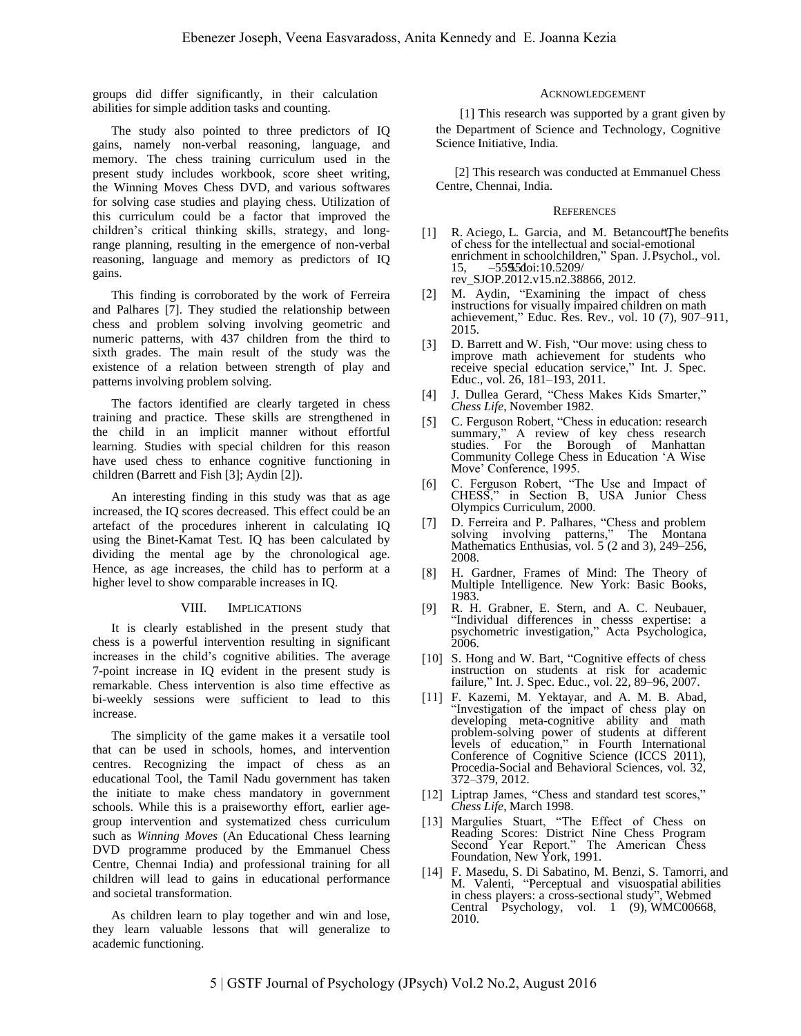groups did differ significantly, in their calculation abilities for simple addition tasks and counting.

The study also pointed to three predictors of IQ gains, namely non-verbal reasoning, language, and memory. The chess training curriculum used in the present study includes workbook, score sheet writing, the Winning Moves Chess DVD, and various softwares for solving case studies and playing chess. Utilization of this curriculum could be a factor that improved the children's critical thinking skills, strategy, and longrange planning, resulting in the emergence of non-verbal reasoning, language and memory as predictors of IQ gains.

This finding is corroborated by the work of Ferreira and Palhares [7]. They studied the relationship between chess and problem solving involving geometric and numeric patterns, with 437 children from the third to sixth grades. The main result of the study was the existence of a relation between strength of play and patterns involving problem solving.

The factors identified are clearly targeted in chess training and practice. These skills are strengthened in the child in an implicit manner without effortful learning. Studies with special children for this reason have used chess to enhance cognitive functioning in children (Barrett and Fish [3]; Aydin [2]).

An interesting finding in this study was that as age increased, the IQ scores decreased. This effect could be an artefact of the procedures inherent in calculating IQ using the Binet-Kamat Test. IQ has been calculated by dividing the mental age by the chronological age. Hence, as age increases, the child has to perform at a higher level to show comparable increases in IQ.

#### VIII. IMPLICATIONS

It is clearly established in the present study that chess is a powerful intervention resulting in significant increases in the child's cognitive abilities. The average 7-point increase in IQ evident in the present study is remarkable. Chess intervention is also time effective as bi-weekly sessions were sufficient to lead to this increase.

The simplicity of the game makes it a versatile tool that can be used in schools, homes, and intervention centres. Recognizing the impact of chess as an educational Tool, the Tamil Nadu government has taken the initiate to make chess mandatory in government schools. While this is a praiseworthy effort, earlier agegroup intervention and systematized chess curriculum such as *Winning Moves* (An Educational Chess learning DVD programme produced by the Emmanuel Chess Centre, Chennai India) and professional training for all children will lead to gains in educational performance and societal transformation.

As children learn to play together and win and lose, they learn valuable lessons that will generalize to academic functioning.

#### ACKNOWLEDGEMENT

[1] This research was supported by a grant given by the Department of Science and Technology, Cognitive Science Initiative, India.

[2] This research was conducted at Emmanuel Chess Centre, Chennai, India.

#### **REFERENCES**

- [1] R. Aciego, L. Garcia, and M. Betancourt The benefits of chess for the intellectual and social-emotional enrichment in schoolchildren," Span. J.Psychol., vol.  $15, -5595d$ oi:10.5209/ rev\_SJOP.2012.v15.n2.38866, 2012.
- [2] M. Aydin, "Examining the impact of chess instructions for visually impaired children on math achievement," Educ. Res. Rev., vol. 10 (7), 907–911, 2015.
- [3] D. Barrett and W. Fish, "Our move: using chess to improve math achievement for students who receive special education service," Int. J. Spec. Educ., vol. 26, 181–193, 2011.
- [4] J. Dullea Gerard, "Chess Makes Kids Smarter," *Chess Life*, November 1982.
- [5] C. Ferguson Robert, "Chess in education: research summary," A review of key chess research studies. For the Borough of Manhattan Community College Chess in Education 'A Wise Move' Conference, 1995.
- [6] C. Ferguson Robert, "The Use and Impact of CHESS," in Section B, USA Junior Chess Olympics Curriculum, 2000.
- [7] D. Ferreira and P. Palhares, "Chess and problem solving involving patterns," The Montana Mathematics Enthusias, vol. 5 (2 and 3), 249–256, 2008.
- [8] H. Gardner, Frames of Mind: The Theory of Multiple Intelligence. New York: Basic Books, 1983.
- [9] R. H. Grabner, E. Stern, and A. C. Neubauer, "Individual differences in chesss expertise: a psychometric investigation," Acta Psychologica, 2006.
- [10] S. Hong and W. Bart, "Cognitive effects of chess instruction on students at risk for academic failure," Int. J. Spec. Educ., vol. 22, 89–96, 2007.
- [11] F. Kazemi, M. Yektayar, and A. M. B. Abad, "Investigation of the impact of chess play on developing meta-cognitive ability and math problem-solving power of students at different levels of education," in Fourth International Conference of Cognitive Science (ICCS 2011), Procedia-Social and Behavioral Sciences, vol. 32, 372–379, 2012.
- [12] Liptrap James, "Chess and standard test scores." *Chess Life*, March 1998.
- [13] Margulies Stuart, "The Effect of Chess on Reading Scores: District Nine Chess Program Second Year Report." The American Chess Foundation, New York, 1991.
- [14] F. Masedu, S. Di Sabatino, M. Benzi, S. Tamorri, and M. Valenti, "Perceptual and visuospatial abilities in chess players: a cross-sectional study", Webmed Central Psychology, vol. 1 (9), WMC00668, 2010.